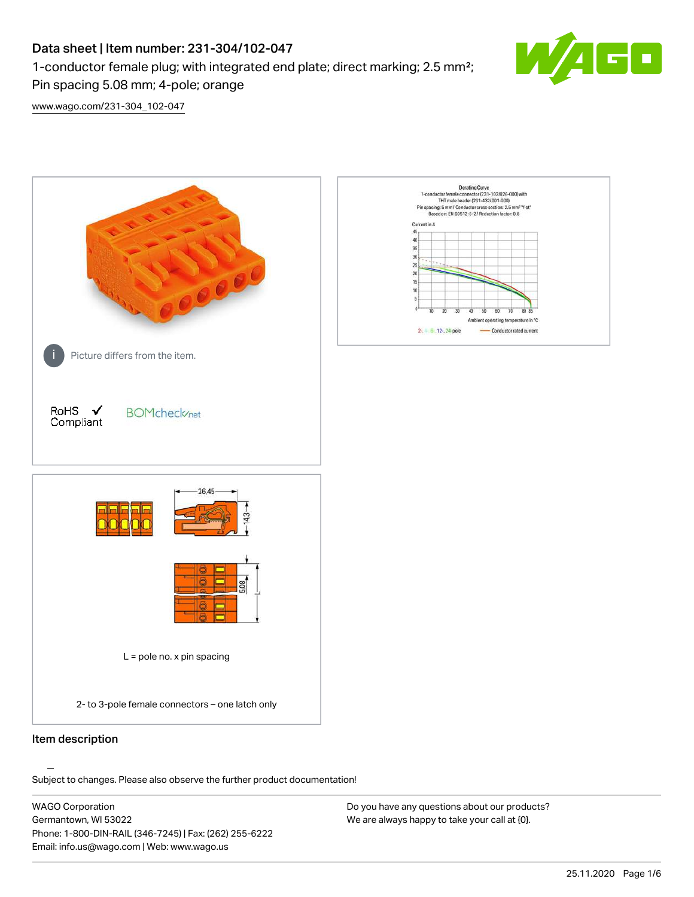# Data sheet | Item number: 231-304/102-047

Pin spacing 5.08 mm; 4-pole; orange

1-conductor female plug; with integrated end plate; direct marking; 2.5 mm²;



[www.wago.com/231-304\\_102-047](http://www.wago.com/231-304_102-047)



Subject to changes. Please also observe the further product documentation!

WAGO Corporation Germantown, WI 53022 Phone: 1-800-DIN-RAIL (346-7245) | Fax: (262) 255-6222 Email: info.us@wago.com | Web: www.wago.us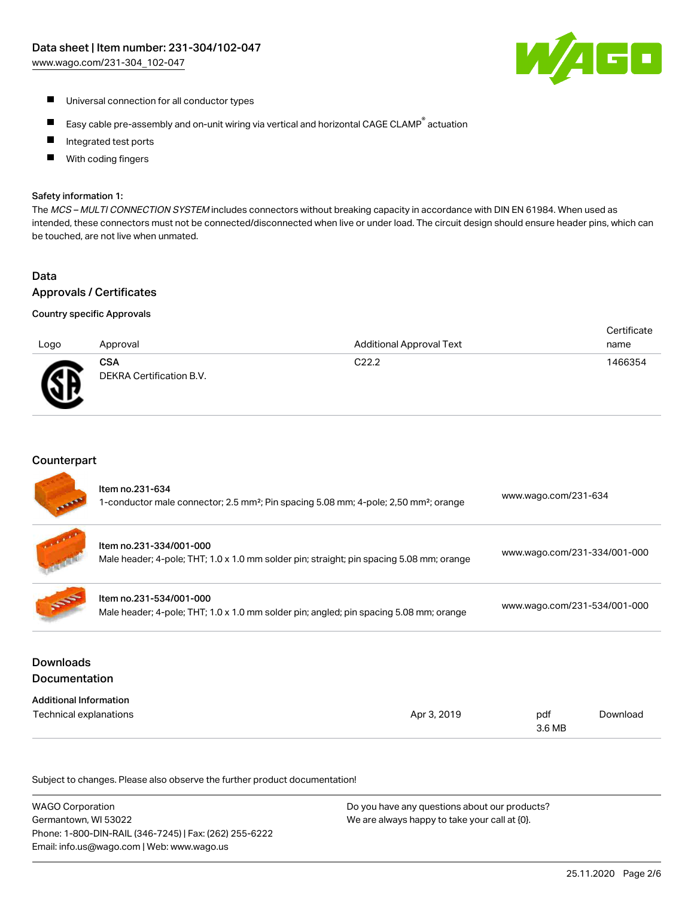

- $\blacksquare$ Universal connection for all conductor types
- $\blacksquare$ Easy cable pre-assembly and on-unit wiring via vertical and horizontal CAGE CLAMP<sup>®</sup> actuation
- $\blacksquare$ Integrated test ports
- With coding fingers П

### Safety information 1:

The MCS - MULTI CONNECTION SYSTEM includes connectors without breaking capacity in accordance with DIN EN 61984. When used as intended, these connectors must not be connected/disconnected when live or under load. The circuit design should ensure header pins, which can be touched, are not live when unmated.

# Data

# Approvals / Certificates

### Country specific Approvals

| Logo | Approval                               | <b>Additional Approval Text</b> | Certificate<br>name |
|------|----------------------------------------|---------------------------------|---------------------|
| Æ    | <b>CSA</b><br>DEKRA Certification B.V. | C <sub>22.2</sub>               | 1466354             |

## **Counterpart**

|                                          | Item no.231-634<br>1-conductor male connector; 2.5 mm <sup>2</sup> ; Pin spacing 5.08 mm; 4-pole; 2,50 mm <sup>2</sup> ; orange |             | www.wago.com/231-634         |          |
|------------------------------------------|---------------------------------------------------------------------------------------------------------------------------------|-------------|------------------------------|----------|
|                                          | Item no.231-334/001-000<br>Male header; 4-pole; THT; 1.0 x 1.0 mm solder pin; straight; pin spacing 5.08 mm; orange             |             | www.wago.com/231-334/001-000 |          |
|                                          | Item no.231-534/001-000<br>Male header; 4-pole; THT; 1.0 x 1.0 mm solder pin; angled; pin spacing 5.08 mm; orange               |             | www.wago.com/231-534/001-000 |          |
| <b>Downloads</b><br><b>Documentation</b> |                                                                                                                                 |             |                              |          |
| <b>Additional Information</b>            |                                                                                                                                 |             |                              |          |
| Technical explanations                   |                                                                                                                                 | Apr 3, 2019 | pdf<br>3.6 MB                | Download |

Subject to changes. Please also observe the further product documentation!

| <b>WAGO Corporation</b>                                | Do you have any questions about our products? |  |
|--------------------------------------------------------|-----------------------------------------------|--|
| Germantown, WI 53022                                   | We are always happy to take your call at {0}. |  |
| Phone: 1-800-DIN-RAIL (346-7245)   Fax: (262) 255-6222 |                                               |  |
| Email: info.us@wago.com   Web: www.wago.us             |                                               |  |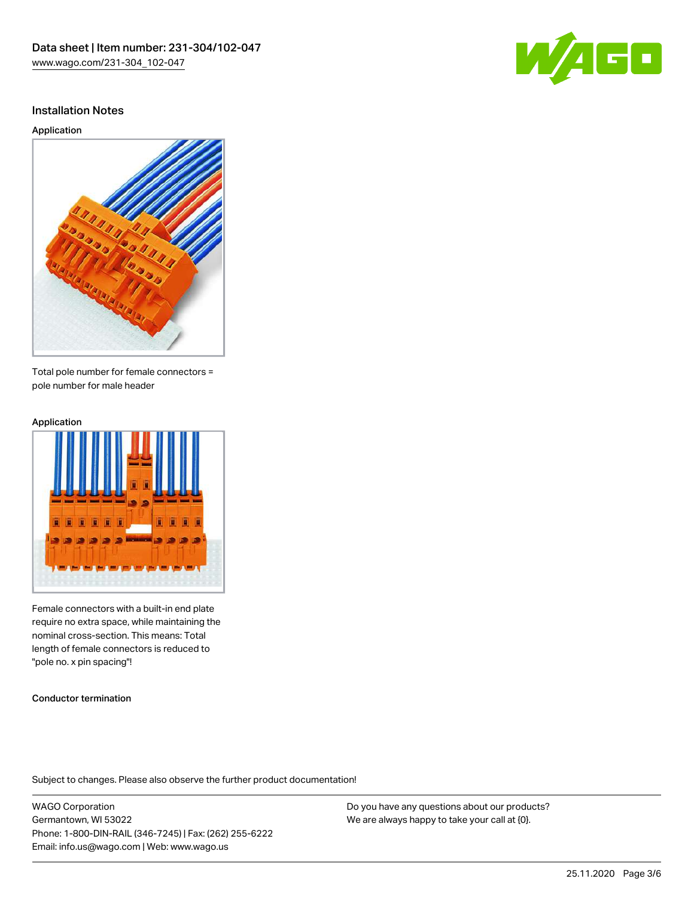

## Installation Notes

## Application



Total pole number for female connectors = pole number for male header

#### Application



Female connectors with a built-in end plate require no extra space, while maintaining the nominal cross-section. This means: Total length of female connectors is reduced to "pole no. x pin spacing"!

Conductor termination

Subject to changes. Please also observe the further product documentation!

WAGO Corporation Germantown, WI 53022 Phone: 1-800-DIN-RAIL (346-7245) | Fax: (262) 255-6222 Email: info.us@wago.com | Web: www.wago.us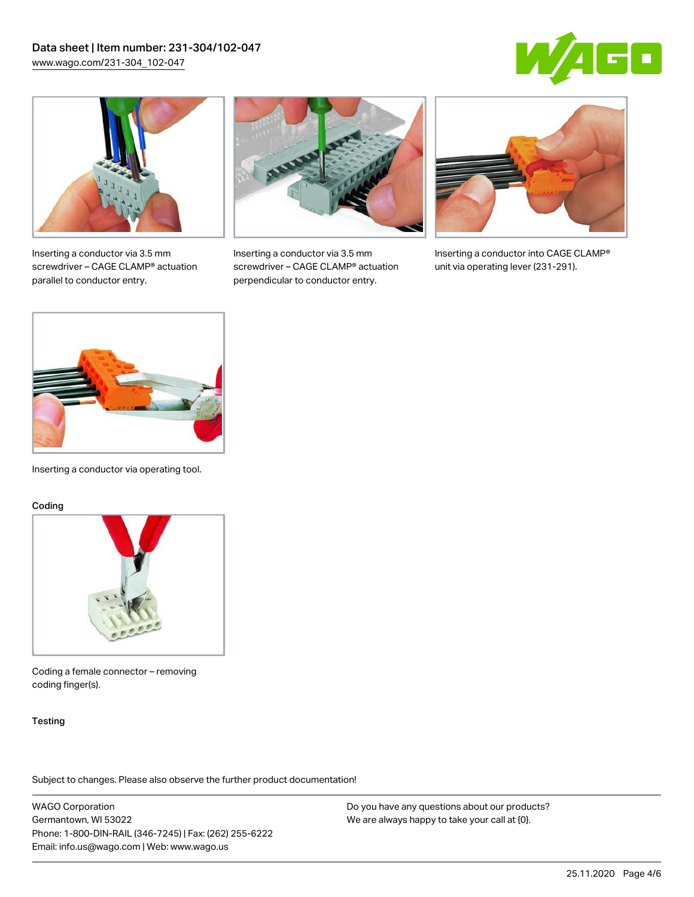



Inserting a conductor via 3.5 mm screwdriver – CAGE CLAMP® actuation parallel to conductor entry.



Inserting a conductor via 3.5 mm screwdriver – CAGE CLAMP® actuation perpendicular to conductor entry.



Inserting a conductor into CAGE CLAMP® unit via operating lever (231-291).



Inserting a conductor via operating tool.

### Coding



Coding a female connector – removing coding finger(s).

### **Testing**

Subject to changes. Please also observe the further product documentation!

WAGO Corporation Germantown, WI 53022 Phone: 1-800-DIN-RAIL (346-7245) | Fax: (262) 255-6222 Email: info.us@wago.com | Web: www.wago.us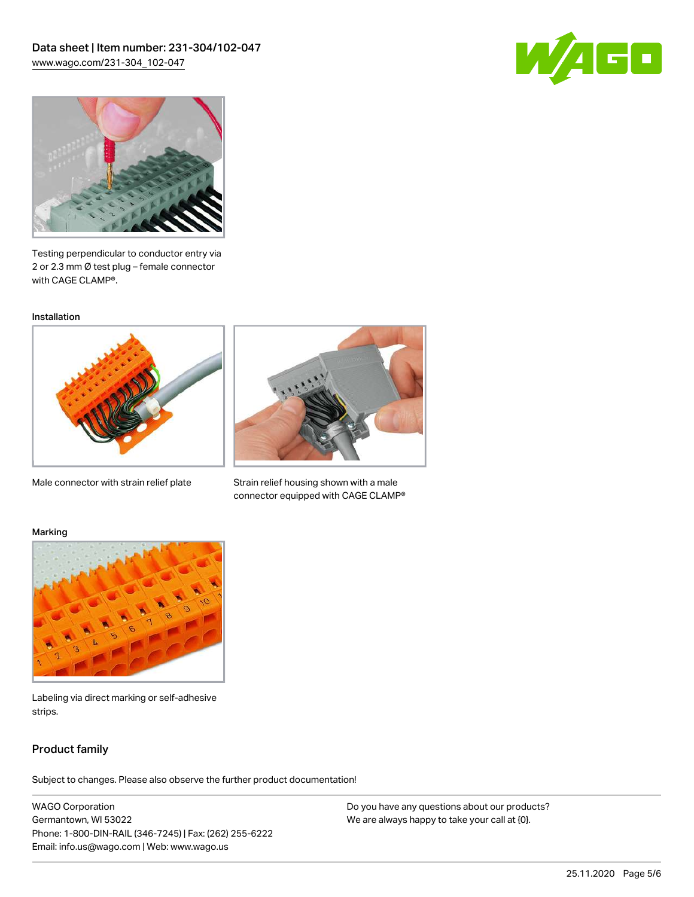



Testing perpendicular to conductor entry via 2 or 2.3 mm Ø test plug – female connector with CAGE CLAMP®.

#### Installation



Male connector with strain relief plate



Strain relief housing shown with a male connector equipped with CAGE CLAMP®

#### Marking



Labeling via direct marking or self-adhesive strips.

# Product family

Subject to changes. Please also observe the further product documentation!

WAGO Corporation Germantown, WI 53022 Phone: 1-800-DIN-RAIL (346-7245) | Fax: (262) 255-6222 Email: info.us@wago.com | Web: www.wago.us